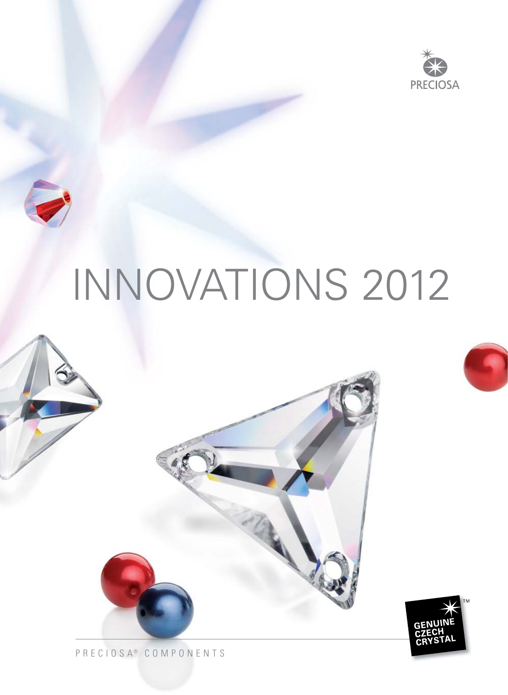



# INNOVATIONS 2012



PRECIOSA<sup>®</sup> COMPONENTS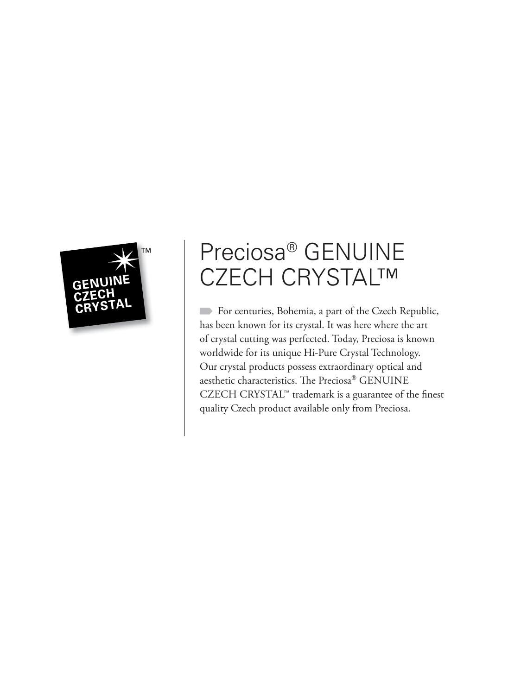

# Preciosa® GENUINE CZECH CRYSTAL™

For centuries, Bohemia, a part of the Czech Republic, has been known for its crystal. It was here where the art of crystal cutting was perfected. Today, Preciosa is known worldwide for its unique Hi-Pure Crystal Technology. Our crystal products possess extraordinary optical and aesthetic characteristics. The Preciosa® GENUINE CZECH CRYSTAL™ trademark is a guarantee of the finest quality Czech product available only from Preciosa.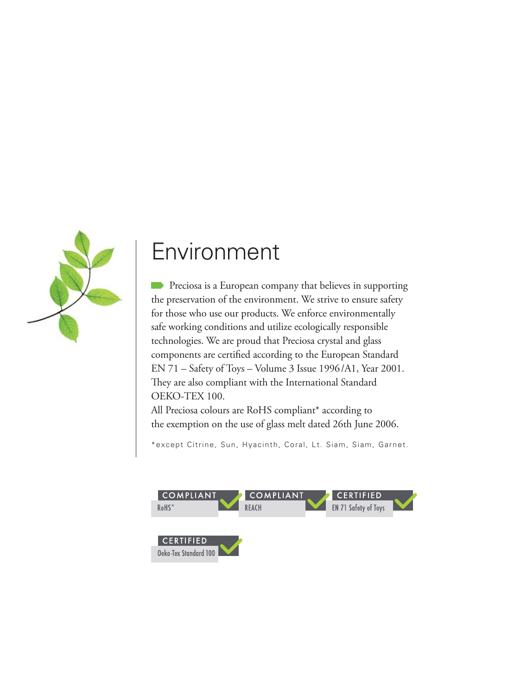

# Environment

 Preciosa is a European company that believes in supporting the preservation of the environment. We strive to ensure safety for those who use our products. We enforce environmentally safe working conditions and utilize ecologically responsible technologies. We are proud that Preciosa crystal and glass components are certified according to the European Standard EN 71 – Safety of Toys – Volume 3 Issue 1996 /A1, Year 2001. They are also compliant with the International Standard OEKO-TEX 100.

All Preciosa colours are RoHS compliant\* according to the exemption on the use of glass melt dated 26th June 2006.

\*except Citrine, Sun, Hyacinth, Coral, Lt. Siam, Siam, Garnet.

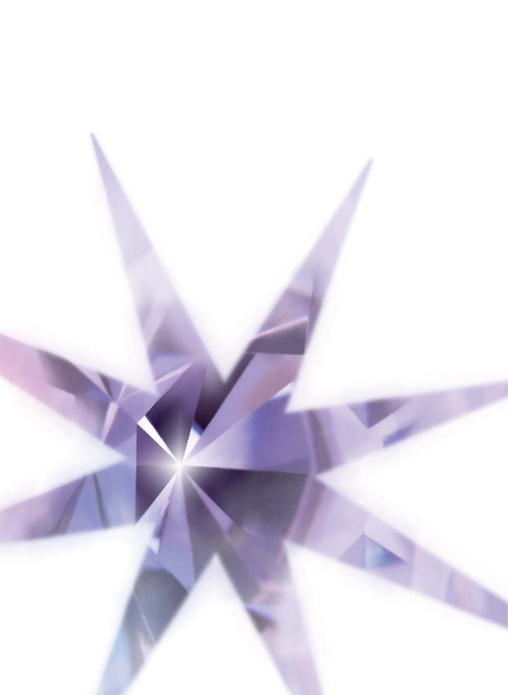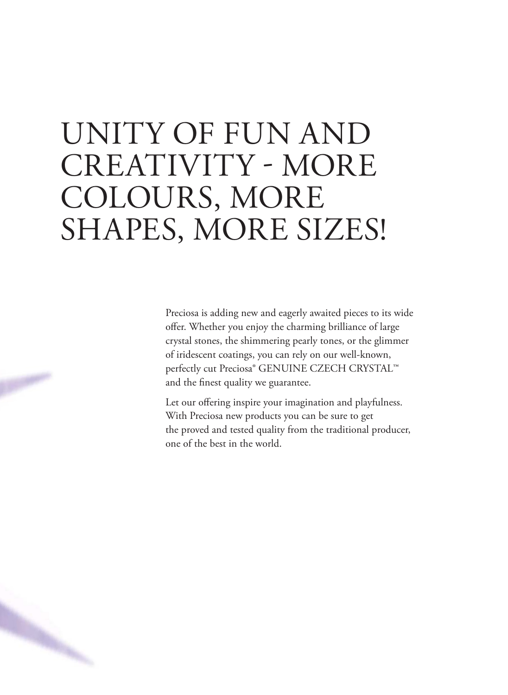# UNITY OF FUN AND CREATIVITY - MORE COLOURS, MORE SHAPES, MORE SIZES!

Preciosa is adding new and eagerly awaited pieces to its wide offer. Whether you enjoy the charming brilliance of large crystal stones, the shimmering pearly tones, or the glimmer of iridescent coatings, you can rely on our well-known, perfectly cut Preciosa® GENUINE CZECH CRYSTAL™ and the finest quality we guarantee.

Let our offering inspire your imagination and playfulness. With Preciosa new products you can be sure to get the proved and tested quality from the traditional producer, one of the best in the world.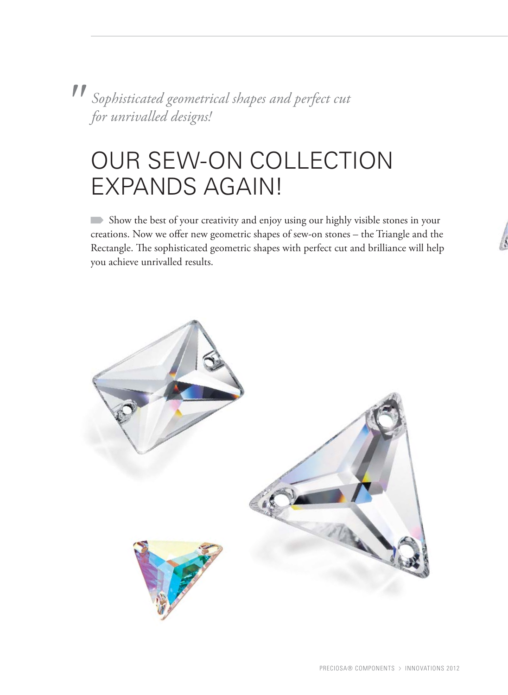*Sophisticated geometrical shapes and perfect cut for unrivalled designs!*

# OUR SEW-ON COLLECTION EXPANDS AGAIN!

Show the best of your creativity and enjoy using our highly visible stones in your creations. Now we offer new geometric shapes of sew-on stones - the Triangle and the Rectangle. The sophisticated geometric shapes with perfect cut and brilliance will help you achieve unrivalled results.

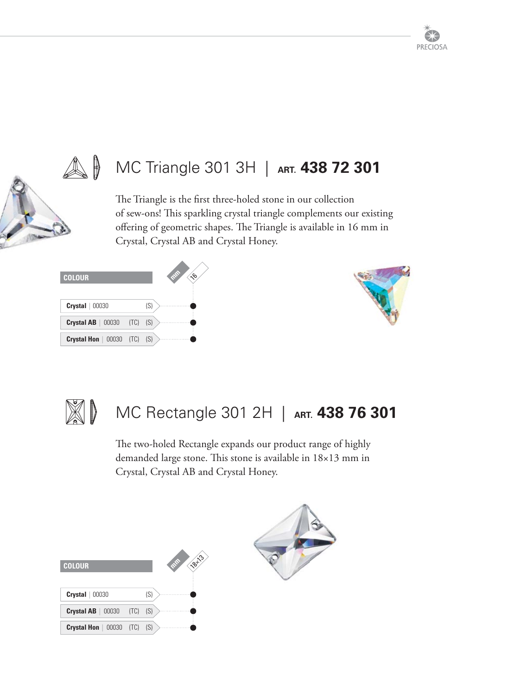



#### MC Triangle 301 3H | **ART. 438 72 301**

The Triangle is the first three-holed stone in our collection of sew-ons! This sparkling crystal triangle complements our existing offering of geometric shapes. The Triangle is available in 16 mm in Crystal, Crystal AB and Crystal Honey.

| <b>COLOUR</b>                            | <b>REA</b> |
|------------------------------------------|------------|
| $Crystal$ $  00030$                      | (S)        |
| <b>Crystal AB</b> $\vert$ 00030 (TC) (S) |            |
| <b>Crystal Hon</b> $ 00030$ (TC) (S)     |            |





### MC Rectangle 301 2H | **ART. 438 76 301**

The two-holed Rectangle expands our product range of highly demanded large stone. This stone is available in 18×13 mm in Crystal, Crystal AB and Crystal Honey.



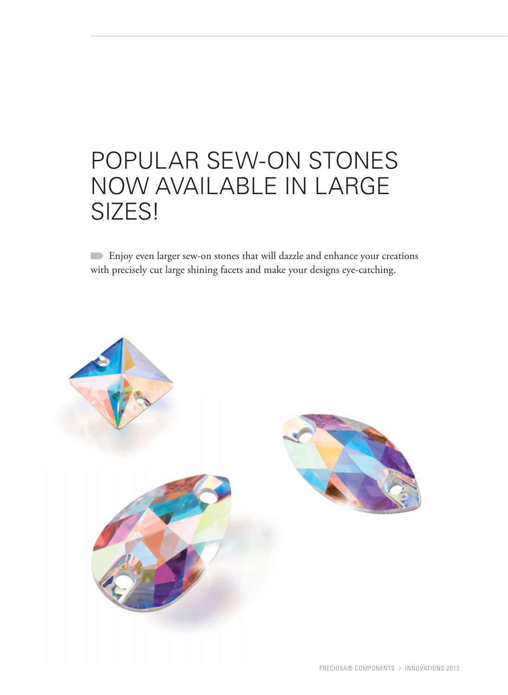## POPULAR SEW-ON STONES NOW AVAILABLE IN LARGE SIZES!

 Enjoy even larger sew-on stones that will dazzle and enhance your creations with precisely cut large shining facets and make your designs eye-catching.

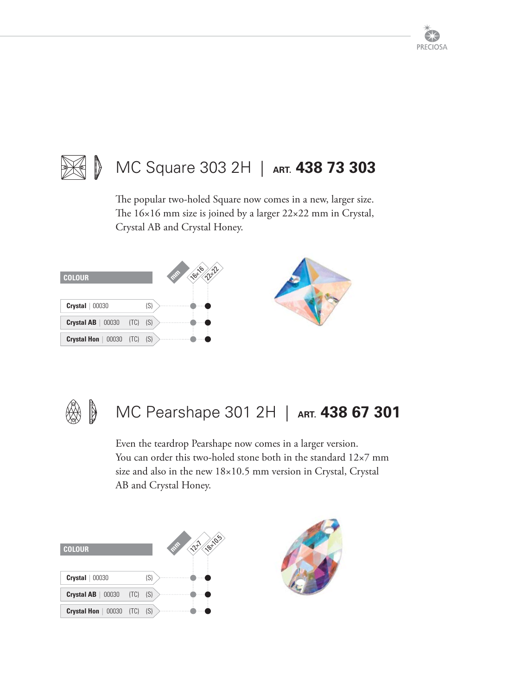



#### MC Square 303 2H | **ART. 438 73 303**

The popular two-holed Square now comes in a new, larger size. The  $16\times16$  mm size is joined by a larger  $22\times22$  mm in Crystal, Crystal AB and Crystal Honey.





#### MC Pearshape 301 2H | **ART. 438 67 301**

Even the teardrop Pearshape now comes in a larger version. You can order this two-holed stone both in the standard 12×7 mm size and also in the new 18×10.5 mm version in Crystal, Crystal AB and Crystal Honey.

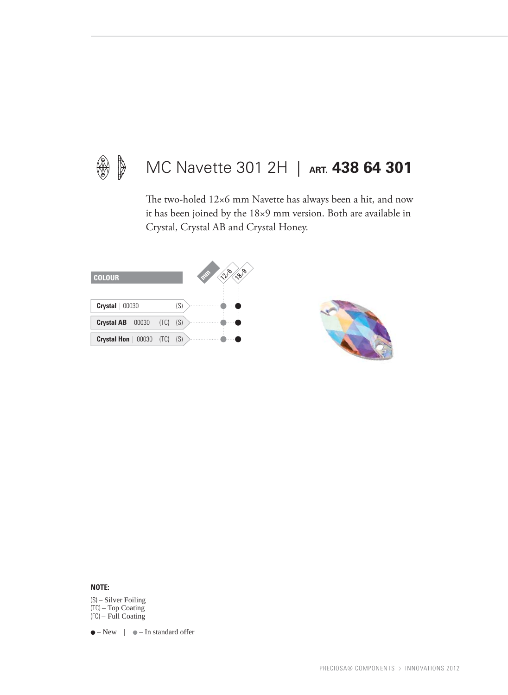

### MC Navette 301 2H | **ART. 438 64 301**

The two-holed 12×6 mm Navette has always been a hit, and now it has been joined by the 18×9 mm version. Both are available in Crystal, Crystal AB and Crystal Honey.



**NOTE:**

(S) – Silver Foiling (TC) – Top Coating (FC) – Full Coating

 $\bullet$  – New  $\parallel$   $\bullet$  – In standard offer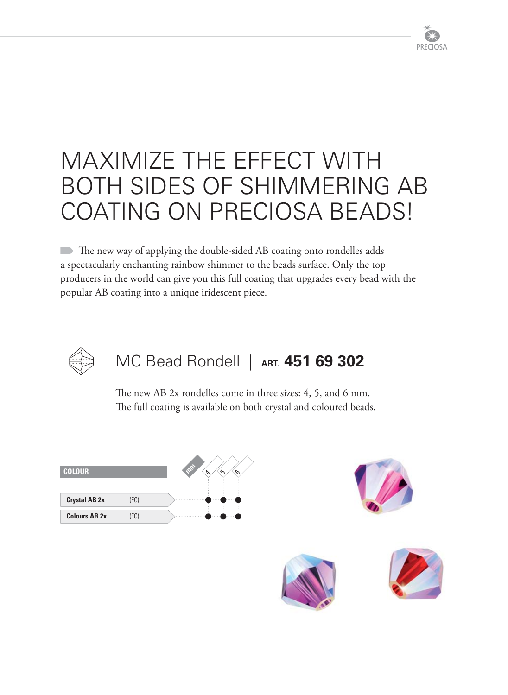# MAXIMIZE THE EFFECT WITH BOTH SIDES OF SHIMMERING AB COATING ON PRECIOSA BEADS!

 $\blacksquare$  The new way of applying the double-sided AB coating onto rondelles adds a spectacularly enchanting rainbow shimmer to the beads surface. Only the top producers in the world can give you this full coating that upgrades every bead with the popular AB coating into a unique iridescent piece.



#### MC Bead Rondell | **ART. 451 69 302**

The new AB 2x rondelles come in three sizes: 4, 5, and 6 mm. The full coating is available on both crystal and coloured beads.







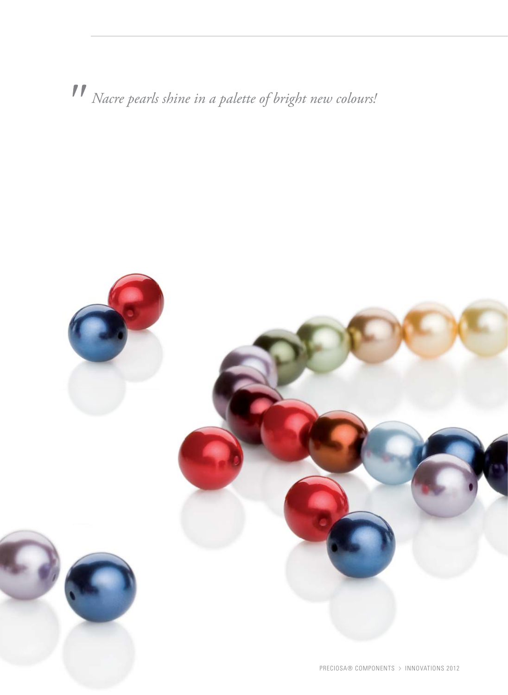*Nacre pearls shine in a palette of bright new colours!*

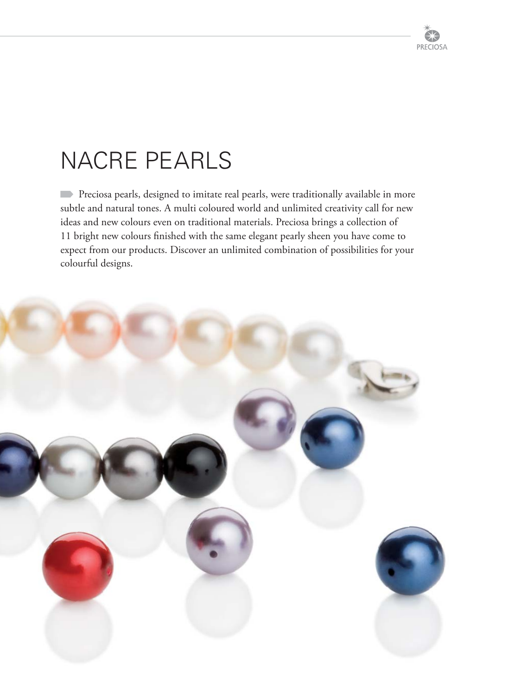

# NACRE PEARLS

Preciosa pearls, designed to imitate real pearls, were traditionally available in more subtle and natural tones. A multi coloured world and unlimited creativity call for new ideas and new colours even on traditional materials. Preciosa brings a collection of 11 bright new colours finished with the same elegant pearly sheen you have come to expect from our products. Discover an unlimited combination of possibilities for your colourful designs.

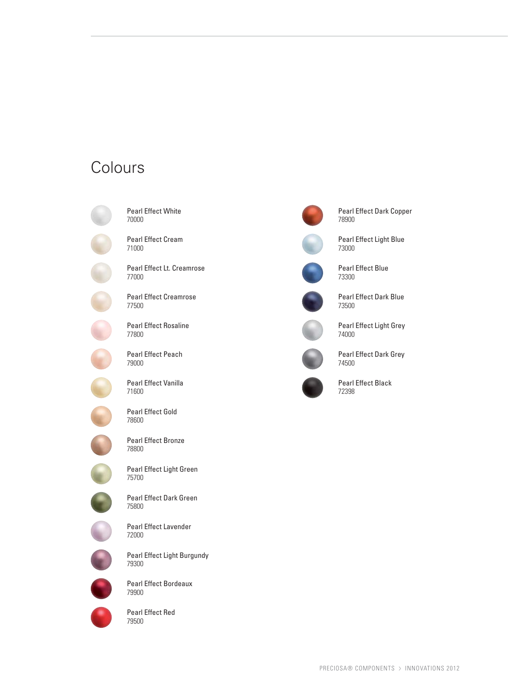#### Colours



Pearl Effect White 70000

Pearl Effect Cream 71000

Pearl Effect Lt. Creamrose 77000

Pearl Effect Creamrose 77500

Pearl Effect Rosaline 77800

Pearl Effect Peach 79000

Pearl Effect Vanilla 71600



Pearl Effect Gold 78600



Pearl Effect Light Green 75700



Pearl Effect Dark Green 75800



Pearl Effect Lavender 72000





Pearl Effect Bordeaux 79900

Pearl Effect Red 79500



Pearl Effect Light Blue 73000 Pearl Effect Blue

78900

73300

Pearl Effect Dark Copper



Pearl Effect Dark Blue 73500





Pearl Effect Dark Grey 74500

Pearl Effect Black 72398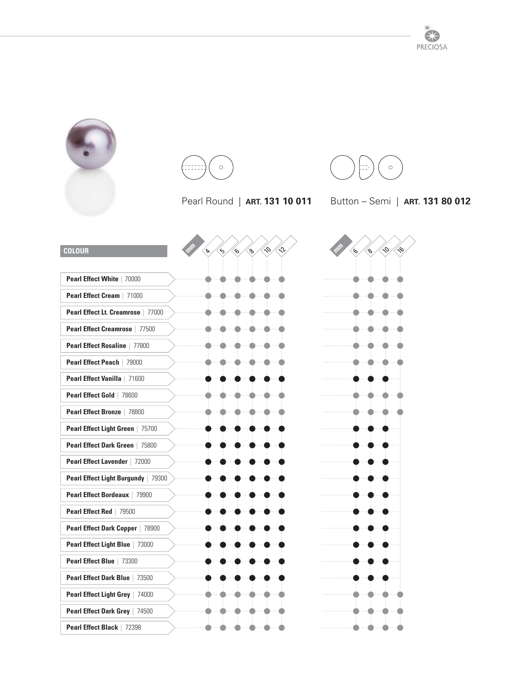



 $\gamma$  $\sim$ 6  $\mathcal{C}$  $\phi$  $\hat{\mathcal{N}}$ 

Pearl Round | **ART. 131 10 011**



Button – Semi | **ART. 131 80 012**

#### **COLOUR mm**

| Pearl Effect White   70000               |  |
|------------------------------------------|--|
| Pearl Effect Cream   71000               |  |
| Pearl Effect Lt. Creamrose<br>77000      |  |
| Pearl Effect Creamrose   77500           |  |
| Pearl Effect Rosaline   77800            |  |
| Pearl Effect Peach   79000               |  |
| Pearl Effect Vanilla   71600             |  |
| Pearl Effect Gold<br>78600               |  |
| Pearl Effect Bronze   78800              |  |
| Pearl Effect Light Green<br>75700        |  |
| Pearl Effect Dark Green<br>75800         |  |
| Pearl Effect Lavender<br>72000           |  |
| Pearl Effect Light Burgundy   79300      |  |
| Pearl Effect Bordeaux   79900            |  |
| Pearl Effect Red   79500                 |  |
| <b>Pearl Effect Dark Copper</b><br>78900 |  |
| Pearl Effect Light Blue   73000          |  |
| Pearl Effect Blue<br>73300               |  |
| <b>Pearl Effect Dark Blue</b><br>73500   |  |
| Pearl Effect Light Grey  <br>74000       |  |
| Pearl Effect Dark Grey<br>74500          |  |
| Pearl Effect Black<br>72398              |  |

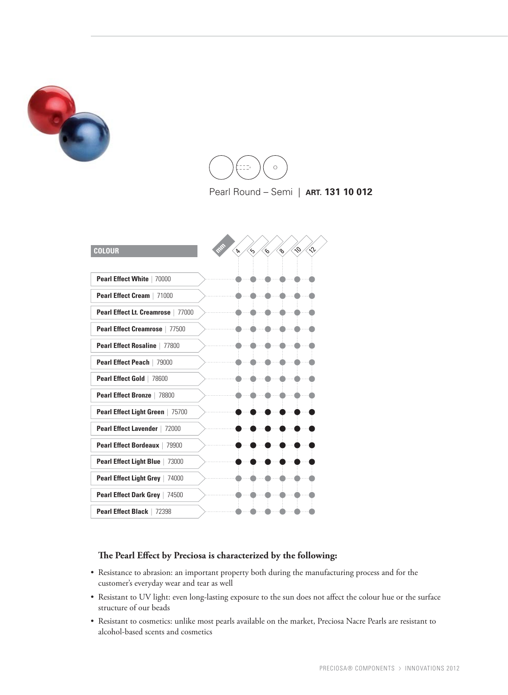



Pearl Round – Semi | **ART. 131 10 012**

| <b>COLOUR</b>                              | ◇<br>ંગ<br>५<br>e,<br>Ġ. |
|--------------------------------------------|--------------------------|
|                                            |                          |
| <b>Pearl Effect White</b><br>70000         |                          |
| <b>Pearl Effect Cream</b><br>71000         |                          |
| <b>Pearl Effect Lt. Creamrose</b><br>77000 |                          |
| <b>Pearl Effect Creamrose</b><br>77500     |                          |
| <b>Pearl Effect Rosaline</b><br>77800      |                          |
| Pearl Effect Peach<br>79000                |                          |
| <b>Pearl Effect Gold</b><br>78600          |                          |
| <b>Pearl Effect Bronze</b><br>78800        |                          |
| <b>Pearl Effect Light Green</b><br>75700   |                          |
| <b>Pearl Effect Lavender</b><br>72000      |                          |
| <b>Pearl Effect Bordeaux</b><br>79900      |                          |
| <b>Pearl Effect Light Blue</b><br>73000    |                          |
| <b>Pearl Effect Light Grey</b><br>74000    |                          |
| Pearl Effect Dark Grey<br>74500            |                          |
| Pearl Effect Black   72398                 |                          |

#### The Pearl Effect by Preciosa is characterized by the following:

- Resistance to abrasion: an important property both during the manufacturing process and for the customer's everyday wear and tear as well
- Resistant to UV light: even long-lasting exposure to the sun does not affect the colour hue or the surface structure of our beads
- Resistant to cosmetics: unlike most pearls available on the market, Preciosa Nacre Pearls are resistant to alcohol-based scents and cosmetics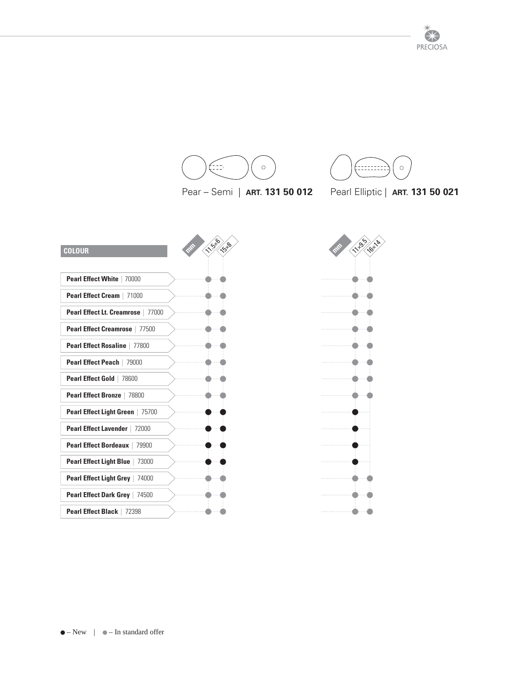



Pear – Semi | **ART. 131 50 012**

Pearl Elliptic | **ART. 131 50 021**



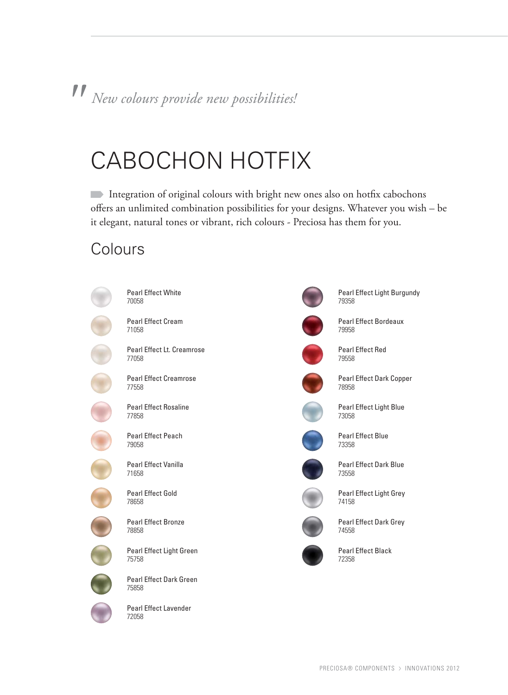*New colours provide new possibilities!*

# CABOCHON HOTFIX

 $\blacksquare$  Integration of original colours with bright new ones also on hotfix cabochons offers an unlimited combination possibilities for your designs. Whatever you wish - be it elegant, natural tones or vibrant, rich colours - Preciosa has them for you.

#### Colours



Pearl Effect White 70058

Pearl Effect Cream 71058

Pearl Effect Lt. Creamrose 77058



Pearl Effect Rosaline 77858

Pearl Effect Peach



79058

Pearl Effect Vanilla

71658 Pearl Effect Gold



78658



Pearl Effect Light Green 75758



Pearl Effect Dark Green 75858



Pearl Effect Lavender 72058



Pearl Effect Light Burgundy 79358



Pearl Effect Bordeaux 79958



Pearl Effect Red 79558



Pearl Effect Dark Copper 78958



Pearl Effect Light Blue 73058



73358



Pearl Effect Dark Blue 73558



Pearl Effect Light Grey 74158



Pearl Effect Dark Grey 74558



Pearl Effect Black 72358



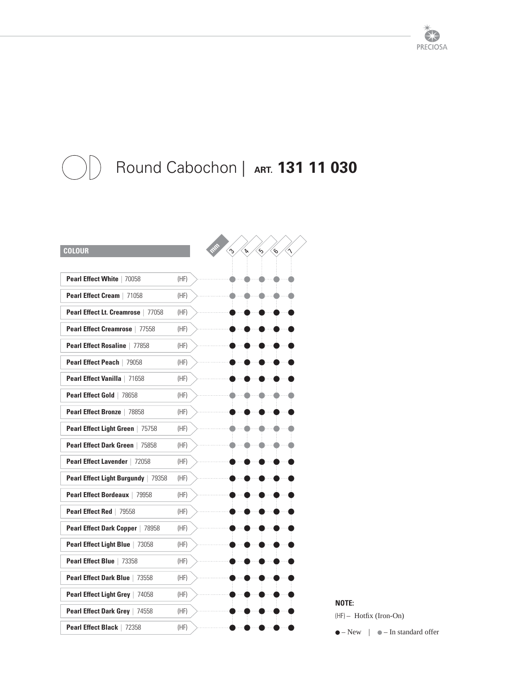# Round Cabochon | **ART. 131 11 030**

| <b>COLOUR</b>                            | ە<br>५<br>$\mathbf{v}$<br>$\delta$ |
|------------------------------------------|------------------------------------|
|                                          |                                    |
| Pearl Effect White   70058               | (HF)                               |
| Pearl Effect Cream<br>71058              | (HF)                               |
| Pearl Effect Lt. Creamrose<br>77058      | (HF)                               |
| Pearl Effect Creamrose<br>77558          | (HF)                               |
| Pearl Effect Rosaline<br>77858           | (HF)                               |
| Pearl Effect Peach   79058               | (HF)                               |
| Pearl Effect Vanilla<br>71658            | (HF)                               |
| Pearl Effect Gold   78658                | (HF)                               |
| Pearl Effect Bronze<br>78858             | (HF)                               |
| Pearl Effect Light Green  <br>75758      | (HF)                               |
| Pearl Effect Dark Green  <br>75858       | (HF)                               |
| Pearl Effect Lavender<br>72058           | (HF)                               |
| Pearl Effect Light Burgundy   79358      | (HF)                               |
| Pearl Effect Bordeaux<br>79958           | (HF)                               |
| Pearl Effect Red<br>79558                | (HF)                               |
| <b>Pearl Effect Dark Copper</b><br>78958 | (HF)                               |
| <b>Pearl Effect Light Blue</b><br>73058  | (HF)                               |
| Pearl Effect Blue   73358                | (HF)                               |
| <b>Pearl Effect Dark Blue</b><br>73558   | (HF)                               |
| <b>Pearl Effect Light Grey</b><br>74058  | (HF)                               |
| <b>Pearl Effect Dark Grey</b><br>74558   | (HF)                               |
| Pearl Effect Black  <br>72358            | (HF)                               |

#### **NOTE:**

 $\bullet$  – New  $| \bullet$  – In standard offer  $(HF)$  – Hotfix (Iron-On)